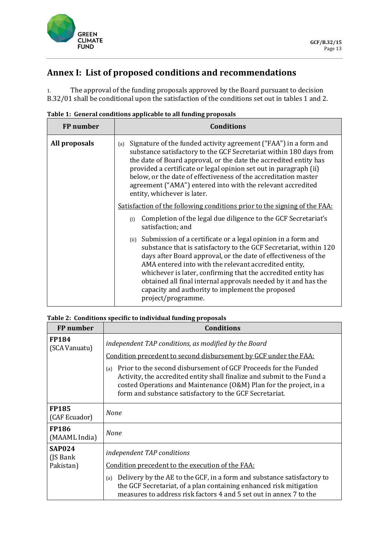

## **Annex I: List of proposed conditions and recommendations**

1. The approval of the funding proposals approved by the Board pursuant to decision B.32/01 shall be conditional upon the satisfaction of the conditions set out in tables 1 and 2.

| FP number     | <b>Conditions</b>                                                                                                                                                                                                                                                                                                                                                                                                                                                                 |
|---------------|-----------------------------------------------------------------------------------------------------------------------------------------------------------------------------------------------------------------------------------------------------------------------------------------------------------------------------------------------------------------------------------------------------------------------------------------------------------------------------------|
| All proposals | Signature of the funded activity agreement ("FAA") in a form and<br>(a)<br>substance satisfactory to the GCF Secretariat within 180 days from<br>the date of Board approval, or the date the accredited entity has<br>provided a certificate or legal opinion set out in paragraph (ii)<br>below, or the date of effectiveness of the accreditation master<br>agreement ("AMA") entered into with the relevant accredited<br>entity, whichever is later.                          |
|               | <u>Satisfaction of the following conditions prior to the signing of the FAA:</u>                                                                                                                                                                                                                                                                                                                                                                                                  |
|               | Completion of the legal due diligence to the GCF Secretariat's<br>(i)<br>satisfaction; and                                                                                                                                                                                                                                                                                                                                                                                        |
|               | Submission of a certificate or a legal opinion in a form and<br>(ii)<br>substance that is satisfactory to the GCF Secretariat, within 120<br>days after Board approval, or the date of effectiveness of the<br>AMA entered into with the relevant accredited entity,<br>whichever is later, confirming that the accredited entity has<br>obtained all final internal approvals needed by it and has the<br>capacity and authority to implement the proposed<br>project/programme. |

## **Table 2: Conditions specific to individual funding proposals**

| FP number                               | <b>Conditions</b>                                                                                                                                                                                                                                                                  |
|-----------------------------------------|------------------------------------------------------------------------------------------------------------------------------------------------------------------------------------------------------------------------------------------------------------------------------------|
| <b>FP184</b><br>(SCA Vanuatu)           | independent TAP conditions, as modified by the Board                                                                                                                                                                                                                               |
|                                         | Condition precedent to second disbursement by GCF under the FAA:                                                                                                                                                                                                                   |
|                                         | Prior to the second disbursement of GCF Proceeds for the Funded<br>(a)<br>Activity, the accredited entity shall finalize and submit to the Fund a<br>costed Operations and Maintenance (O&M) Plan for the project, in a<br>form and substance satisfactory to the GCF Secretariat. |
| <b>FP185</b><br>(CAF Ecuador)           | None                                                                                                                                                                                                                                                                               |
| <b>FP186</b><br>(MAAML India)           | <b>None</b>                                                                                                                                                                                                                                                                        |
| <b>SAP024</b><br>(JS Bank)<br>Pakistan) | independent TAP conditions                                                                                                                                                                                                                                                         |
|                                         | Condition precedent to the execution of the FAA:                                                                                                                                                                                                                                   |
|                                         | Delivery by the AE to the GCF, in a form and substance satisfactory to<br>(a)<br>the GCF Secretariat, of a plan containing enhanced risk mitigation<br>measures to address risk factors 4 and 5 set out in annex 7 to the                                                          |